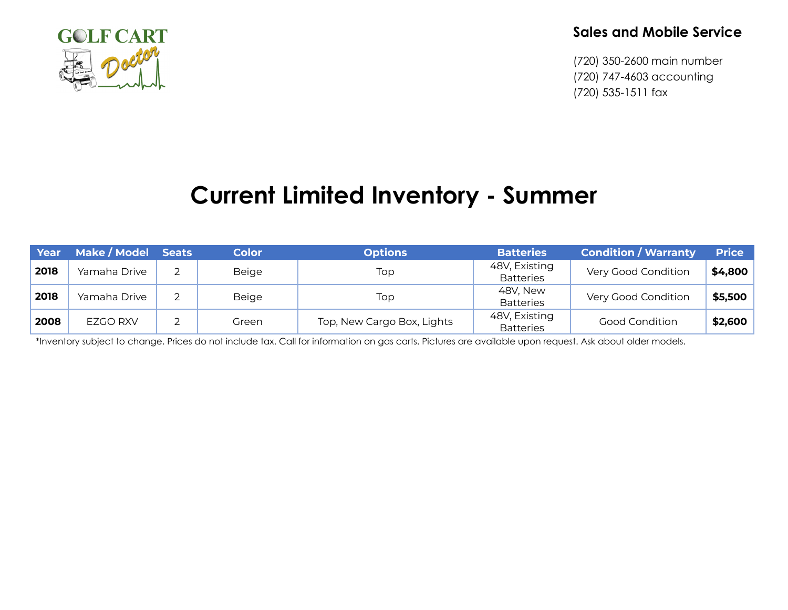

## **Sales and Mobile Service**

(720) 350-2600 main number (720) 747-4603 accounting (720) 535-1511 fax

## **Current Limited Inventory - Summer**

| Year | Make / Model Seats | <b>Color</b> | <b>Options</b>             | <b>Batteries</b>                  | <b>Condition / Warranty</b> | <b>Price</b> |
|------|--------------------|--------------|----------------------------|-----------------------------------|-----------------------------|--------------|
| 2018 | Yamaha Drive       | Beige        | Top                        | 48V, Existing<br><b>Batteries</b> | Very Good Condition         | \$4,800      |
| 2018 | Yamaha Drive       | Beige        | Top                        | 48V, New<br><b>Batteries</b>      | Very Good Condition         | \$5,500      |
| 2008 | EZGO RXV           | Green        | Top, New Cargo Box, Lights | 48V, Existing<br><b>Batteries</b> | <b>Good Condition</b>       | \$2,600      |

\*Inventory subject to change. Prices do not include tax. Call for information on gas carts. Pictures are available upon request. Ask about older models.